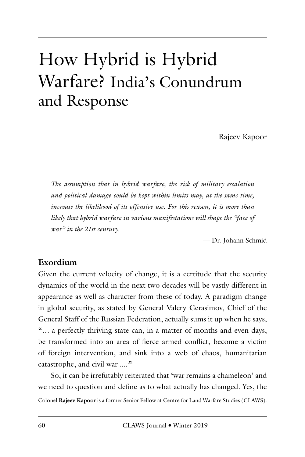# How Hybrid is Hybrid Warfare? India's Conundrum and Response

Rajeev Kapoor

*The assumption that in hybrid warfare, the risk of military escalation and political damage could be kept within limits may, at the same time, increase the likelihood of its offensive use. For this reason, it is more than likely that hybrid warfare in various manifestations will shape the "face of war" in the 21st century.* 

— Dr. Johann Schmid

#### **Exordium**

Given the current velocity of change, it is a certitude that the security dynamics of the world in the next two decades will be vastly different in appearance as well as character from these of today. A paradigm change in global security, as stated by General Valery Gerasimov, Chief of the General Staff of the Russian Federation, actually sums it up when he says, "*…* a perfectly thriving state can, in a matter of months and even days, be transformed into an area of fierce armed conflict, become a victim of foreign intervention, and sink into a web of chaos, humanitarian catastrophe, and civil war *...."*<sup>1</sup>

So, it can be irrefutably reiterated that 'war remains a chameleon' and we need to question and define as to what actually has changed. Yes, the

Colonel **Rajeev Kapoor** is a former Senior Fellow at Centre for Land Warfare Studies (CLAWS).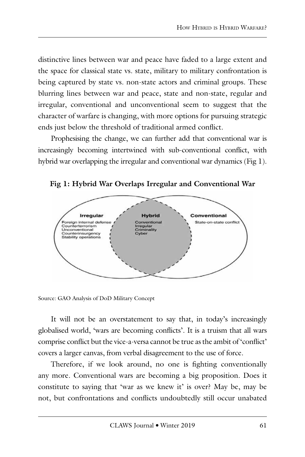distinctive lines between war and peace have faded to a large extent and the space for classical state vs. state, military to military confrontation is being captured by state vs. non-state actors and criminal groups. These blurring lines between war and peace, state and non-state, regular and irregular, conventional and unconventional seem to suggest that the character of warfare is changing, with more options for pursuing strategic ends just below the threshold of traditional armed conflict.

Prophesising the change, we can further add that conventional war is increasingly becoming intertwined with sub-conventional conflict, with hybrid war overlapping the irregular and conventional war dynamics (Fig 1).



**Fig 1: Hybrid War Overlaps Irregular and Conventional War**

Source: GAO Analysis of DoD Military Concept

It will not be an overstatement to say that, in today's increasingly globalised world, 'wars are becoming conflicts'. It is a truism that all wars comprise conflict but the vice-a-versa cannot be true as the ambit of 'conflict' covers a larger canvas, from verbal disagreement to the use of force.

Therefore, if we look around, no one is fighting conventionally any more. Conventional wars are becoming a big proposition. Does it constitute to saying that 'war as we knew it' is over? May be, may be not, but confrontations and conflicts undoubtedly still occur unabated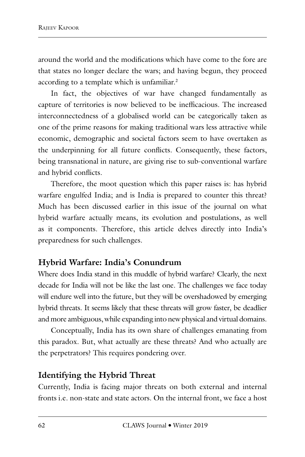around the world and the modifications which have come to the fore are that states no longer declare the wars; and having begun, they proceed according to a template which is unfamiliar.<sup>2</sup>

In fact, the objectives of war have changed fundamentally as capture of territories is now believed to be inefficacious. The increased interconnectedness of a globalised world can be categorically taken as one of the prime reasons for making traditional wars less attractive while economic, demographic and societal factors seem to have overtaken as the underpinning for all future conflicts. Consequently, these factors, being transnational in nature, are giving rise to sub-conventional warfare and hybrid conflicts.

Therefore, the moot question which this paper raises is: has hybrid warfare engulfed India; and is India is prepared to counter this threat? Much has been discussed earlier in this issue of the journal on what hybrid warfare actually means, its evolution and postulations, as well as it components. Therefore, this article delves directly into India's preparedness for such challenges.

# **Hybrid Warfare: India's Conundrum**

Where does India stand in this muddle of hybrid warfare? Clearly, the next decade for India will not be like the last one. The challenges we face today will endure well into the future, but they will be overshadowed by emerging hybrid threats. It seems likely that these threats will grow faster, be deadlier and more ambiguous, while expanding into new physical and virtual domains.

Conceptually, India has its own share of challenges emanating from this paradox. But, what actually are these threats? And who actually are the perpetrators? This requires pondering over.

### **Identifying the Hybrid Threat**

Currently, India is facing major threats on both external and internal fronts i.e. non-state and state actors. On the internal front, we face a host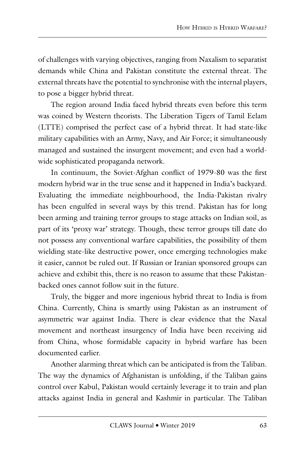of challenges with varying objectives, ranging from Naxalism to separatist demands while China and Pakistan constitute the external threat. The external threats have the potential to synchronise with the internal players, to pose a bigger hybrid threat.

The region around India faced hybrid threats even before this term was coined by Western theorists. The Liberation Tigers of Tamil Eelam (LTTE) comprised the perfect case of a hybrid threat. It had state-like military capabilities with an Army, Navy, and Air Force; it simultaneously managed and sustained the insurgent movement; and even had a worldwide sophisticated propaganda network.

In continuum, the Soviet-Afghan conflict of 1979-80 was the first modern hybrid war in the true sense and it happened in India's backyard. Evaluating the immediate neighbourhood, the India-Pakistan rivalry has been engulfed in several ways by this trend. Pakistan has for long been arming and training terror groups to stage attacks on Indian soil, as part of its 'proxy war' strategy. Though, these terror groups till date do not possess any conventional warfare capabilities, the possibility of them wielding state-like destructive power, once emerging technologies make it easier, cannot be ruled out. If Russian or Iranian sponsored groups can achieve and exhibit this, there is no reason to assume that these Pakistanbacked ones cannot follow suit in the future.

Truly, the bigger and more ingenious hybrid threat to India is from China. Currently, China is smartly using Pakistan as an instrument of asymmetric war against India. There is clear evidence that the Naxal movement and northeast insurgency of India have been receiving aid from China, whose formidable capacity in hybrid warfare has been documented earlier.

Another alarming threat which can be anticipated is from the Taliban. The way the dynamics of Afghanistan is unfolding, if the Taliban gains control over Kabul, Pakistan would certainly leverage it to train and plan attacks against India in general and Kashmir in particular. The Taliban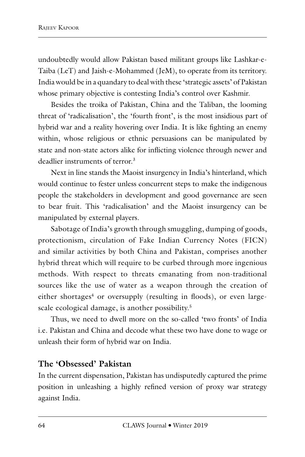undoubtedly would allow Pakistan based militant groups like Lashkar-e-Taiba (LeT) and Jaish-e-Mohammed (JeM), to operate from its territory. India would be in a quandary to deal with these 'strategic assets' of Pakistan whose primary objective is contesting India's control over Kashmir.

Besides the troika of Pakistan, China and the Taliban, the looming threat of 'radicalisation', the 'fourth front', is the most insidious part of hybrid war and a reality hovering over India. It is like fighting an enemy within, whose religious or ethnic persuasions can be manipulated by state and non-state actors alike for inflicting violence through newer and deadlier instruments of terror<sup>3</sup>

Next in line stands the Maoist insurgency in India's hinterland, which would continue to fester unless concurrent steps to make the indigenous people the stakeholders in development and good governance are seen to bear fruit. This 'radicalisation' and the Maoist insurgency can be manipulated by external players.

Sabotage of India's growth through smuggling, dumping of goods, protectionism, circulation of Fake Indian Currency Notes (FICN) and similar activities by both China and Pakistan, comprises another hybrid threat which will require to be curbed through more ingenious methods. With respect to threats emanating from non-traditional sources like the use of water as a weapon through the creation of either shortages<sup>4</sup> or oversupply (resulting in floods), or even largescale ecological damage, is another possibility.<sup>5</sup>

Thus, we need to dwell more on the so-called 'two fronts' of India i.e. Pakistan and China and decode what these two have done to wage or unleash their form of hybrid war on India.

# **The 'Obsessed' Pakistan**

In the current dispensation, Pakistan has undisputedly captured the prime position in unleashing a highly refined version of proxy war strategy against India.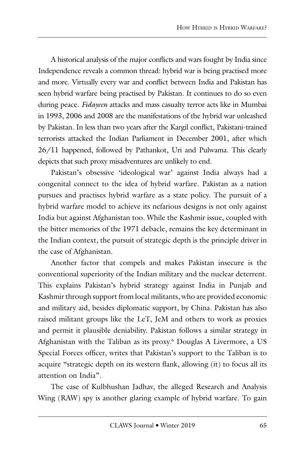A historical analysis of the major conflicts and wars fought by India since Independence reveals a common thread: hybrid war is being practised more and more. Virtually every war and conflict between India and Pakistan has seen hybrid warfare being practised by Pakistan. It continues to do so even during peace. *Fidayeen* attacks and mass casualty terror acts like in Mumbai in 1993, 2006 and 2008 are the manifestations of the hybrid war unleashed by Pakistan. In less than two years after the Kargil conflict, Pakistani-trained terrorists attacked the Indian Parliament in December 2001, after which 26/11 happened, followed by Pathankot, Uri and Pulwama. This clearly depicts that such proxy misadventures are unlikely to end.

Pakistan's obsessive 'ideological war' against India always had a congenital connect to the idea of hybrid warfare. Pakistan as a nation pursues and practises hybrid warfare as a state policy. The pursuit of a hybrid warfare model to achieve its nefarious designs is not only against India but against Afghanistan too. While the Kashmir issue, coupled with the bitter memories of the 1971 debacle, remains the key determinant in the Indian context, the pursuit of strategic depth is the principle driver in the case of Afghanistan.

Another factor that compels and makes Pakistan insecure is the conventional superiority of the Indian military and the nuclear deterrent. This explains Pakistan's hybrid strategy against India in Punjab and Kashmir through support from local militants, who are provided economic and military aid, besides diplomatic support, by China. Pakistan has also raised militant groups like the LeT, JeM and others to work as proxies and permit it plausible deniability. Pakistan follows a similar strategy in Afghanistan with the Taliban as its proxy.6 Douglas A Livermore, a US Special Forces officer, writes that Pakistan's support to the Taliban is to acquire "strategic depth on its western flank, allowing (it) to focus all its attention on India".

The case of Kulbhushan Jadhav, the alleged Research and Analysis Wing (RAW) spy is another glaring example of hybrid warfare. To gain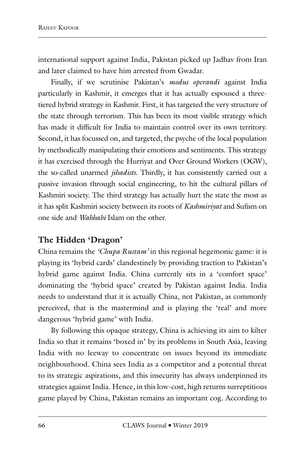international support against India, Pakistan picked up Jadhav from Iran and later claimed to have him arrested from Gwadar.

Finally, if we scrutinise Pakistan's *modus operandi* against India particularly in Kashmir, it emerges that it has actually espoused a threetiered hybrid strategy in Kashmir. First, it has targeted the very structure of the state through terrorism. This has been its most visible strategy which has made it difficult for India to maintain control over its own territory. Second, it has focussed on, and targeted, the psyche of the local population by methodically manipulating their emotions and sentiments. This strategy it has exercised through the Hurriyat and Over Ground Workers (OGW), the so-called unarmed *jihadists*. Thirdly, it has consistently carried out a passive invasion through social engineering, to hit the cultural pillars of Kashmiri society. The third strategy has actually hurt the state the most as it has split Kashmiri society between its roots of *Kashmiriyat* and Sufism on one side and *Wahhabi* Islam on the other.

# **The Hidden 'Dragon'**

China remains the *'Chupa Rustam'* in this regional hegemonic game: it is playing its 'hybrid cards' clandestinely by providing traction to Pakistan's hybrid game against India. China currently sits in a 'comfort space' dominating the 'hybrid space' created by Pakistan against India. India needs to understand that it is actually China, not Pakistan, as commonly perceived, that is the mastermind and is playing the 'real' and more dangerous 'hybrid game' with India.

By following this opaque strategy, China is achieving its aim to kilter India so that it remains 'boxed in' by its problems in South Asia, leaving India with no leeway to concentrate on issues beyond its immediate neighbourhood. China sees India as a competitor and a potential threat to its strategic aspirations, and this insecurity has always underpinned its strategies against India. Hence, in this low-cost, high returns surreptitious game played by China, Pakistan remains an important cog. According to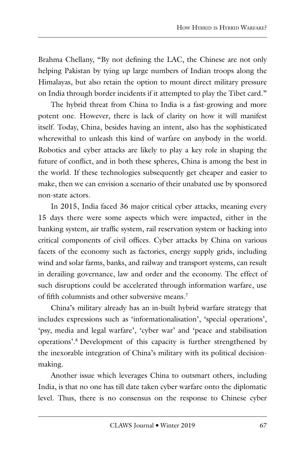Brahma Chellany, "By not defining the LAC, the Chinese are not only helping Pakistan by tying up large numbers of Indian troops along the Himalayas, but also retain the option to mount direct military pressure on India through border incidents if it attempted to play the Tibet card."

The hybrid threat from China to India is a fast-growing and more potent one. However, there is lack of clarity on how it will manifest itself. Today, China, besides having an intent, also has the sophisticated wherewithal to unleash this kind of warfare on anybody in the world. Robotics and cyber attacks are likely to play a key role in shaping the future of conflict, and in both these spheres, China is among the best in the world. If these technologies subsequently get cheaper and easier to make, then we can envision a scenario of their unabated use by sponsored non-state actors.

In 2015, India faced 36 major critical cyber attacks, meaning every 15 days there were some aspects which were impacted, either in the banking system, air traffic system, rail reservation system or hacking into critical components of civil offices. Cyber attacks by China on various facets of the economy such as factories, energy supply grids, including wind and solar farms, banks, and railway and transport systems, can result in derailing governance, law and order and the economy. The effect of such disruptions could be accelerated through information warfare, use of fifth columnists and other subversive means.7

China's military already has an in-built hybrid warfare strategy that includes expressions such as 'informationalisation', 'special operations', 'psy, media and legal warfare', 'cyber war' and 'peace and stabilisation operations'.8 Development of this capacity is further strengthened by the inexorable integration of China's military with its political decisionmaking.

Another issue which leverages China to outsmart others, including India, is that no one has till date taken cyber warfare onto the diplomatic level. Thus, there is no consensus on the response to Chinese cyber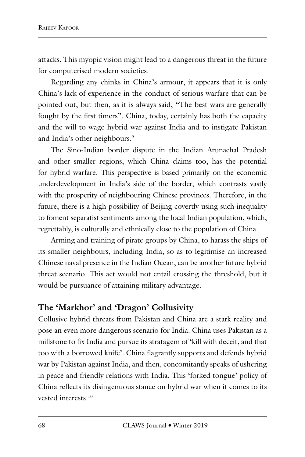attacks. This myopic vision might lead to a dangerous threat in the future for computerised modern societies.

Regarding any chinks in China's armour, it appears that it is only China's lack of experience in the conduct of serious warfare that can be pointed out, but then, as it is always said, "The best wars are generally fought by the first timers". China, today, certainly has both the capacity and the will to wage hybrid war against India and to instigate Pakistan and India's other neighbours.<sup>9</sup>

The Sino-Indian border dispute in the Indian Arunachal Pradesh and other smaller regions, which China claims too, has the potential for hybrid warfare. This perspective is based primarily on the economic underdevelopment in India's side of the border, which contrasts vastly with the prosperity of neighbouring Chinese provinces. Therefore, in the future, there is a high possibility of Beijing covertly using such inequality to foment separatist sentiments among the local Indian population, which, regrettably, is culturally and ethnically close to the population of China.

Arming and training of pirate groups by China, to harass the ships of its smaller neighbours, including India, so as to legitimise an increased Chinese naval presence in the Indian Ocean, can be another future hybrid threat scenario. This act would not entail crossing the threshold, but it would be pursuance of attaining military advantage.

# **The 'Markhor' and 'Dragon' Collusivity**

Collusive hybrid threats from Pakistan and China are a stark reality and pose an even more dangerous scenario for India. China uses Pakistan as a millstone to fix India and pursue its stratagem of 'kill with deceit, and that too with a borrowed knife'. China flagrantly supports and defends hybrid war by Pakistan against India, and then, concomitantly speaks of ushering in peace and friendly relations with India. This 'forked tongue' policy of China reflects its disingenuous stance on hybrid war when it comes to its vested interests  $10$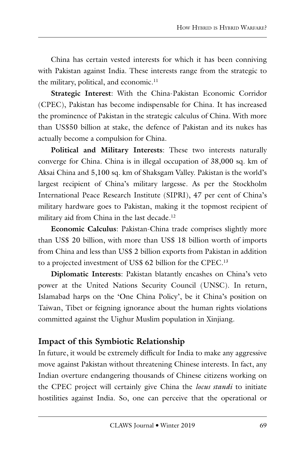China has certain vested interests for which it has been conniving with Pakistan against India. These interests range from the strategic to the military, political, and economic.<sup>11</sup>

**Strategic Interest**: With the China-Pakistan Economic Corridor (CPEC), Pakistan has become indispensable for China. It has increased the prominence of Pakistan in the strategic calculus of China. With more than US\$50 billion at stake, the defence of Pakistan and its nukes has actually become a compulsion for China.

**Political and Military Interests**: These two interests naturally converge for China. China is in illegal occupation of 38,000 sq. km of Aksai China and 5,100 sq. km of Shaksgam Valley. Pakistan is the world's largest recipient of China's military largesse. As per the Stockholm International Peace Research Institute (SIPRI), 47 per cent of China's military hardware goes to Pakistan, making it the topmost recipient of military aid from China in the last decade.<sup>12</sup>

**Economic Calculus**: Pakistan-China trade comprises slightly more than US\$ 20 billion, with more than US\$ 18 billion worth of imports from China and less than US\$ 2 billion exports from Pakistan in addition to a projected investment of US\$ 62 billion for the CPEC.<sup>13</sup>

**Diplomatic Interests**: Pakistan blatantly encashes on China's veto power at the United Nations Security Council (UNSC). In return, Islamabad harps on the 'One China Policy', be it China's position on Taiwan, Tibet or feigning ignorance about the human rights violations committed against the Uighur Muslim population in Xinjiang.

# **Impact of this Symbiotic Relationship**

In future, it would be extremely difficult for India to make any aggressive move against Pakistan without threatening Chinese interests. In fact, any Indian overture endangering thousands of Chinese citizens working on the CPEC project will certainly give China the *locus standi* to initiate hostilities against India. So, one can perceive that the operational or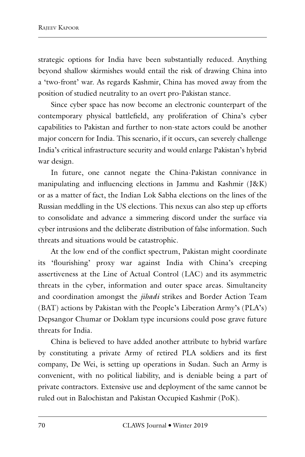strategic options for India have been substantially reduced. Anything beyond shallow skirmishes would entail the risk of drawing China into a 'two-front' war. As regards Kashmir, China has moved away from the position of studied neutrality to an overt pro-Pakistan stance.

Since cyber space has now become an electronic counterpart of the contemporary physical battlefield, any proliferation of China's cyber capabilities to Pakistan and further to non-state actors could be another major concern for India. This scenario, if it occurs, can severely challenge India's critical infrastructure security and would enlarge Pakistan's hybrid war design.

In future, one cannot negate the China-Pakistan connivance in manipulating and influencing elections in Jammu and Kashmir (J&K) or as a matter of fact, the Indian Lok Sabha elections on the lines of the Russian meddling in the US elections. This nexus can also step up efforts to consolidate and advance a simmering discord under the surface via cyber intrusions and the deliberate distribution of false information. Such threats and situations would be catastrophic.

At the low end of the conflict spectrum, Pakistan might coordinate its 'flourishing' proxy war against India with China's creeping assertiveness at the Line of Actual Control (LAC) and its asymmetric threats in the cyber, information and outer space areas. Simultaneity and coordination amongst the *jihadi* strikes and Border Action Team (BAT) actions by Pakistan with the People's Liberation Army's (PLA's) Depsangor Chumar or Doklam type incursions could pose grave future threats for India.

China is believed to have added another attribute to hybrid warfare by constituting a private Army of retired PLA soldiers and its first company, De Wei, is setting up operations in Sudan. Such an Army is convenient, with no political liability, and is deniable being a part of private contractors. Extensive use and deployment of the same cannot be ruled out in Balochistan and Pakistan Occupied Kashmir (PoK).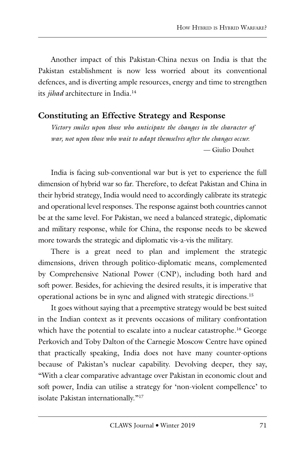Another impact of this Pakistan-China nexus on India is that the Pakistan establishment is now less worried about its conventional defences, and is diverting ample resources, energy and time to strengthen its *jihad* architecture in India.<sup>14</sup>

#### **Constituting an Effective Strategy and Response**

*Victory smiles upon those who anticipate the changes in the character of war, not upon those who wait to adapt themselves after the changes occur.* — Giulio Douhet

India is facing sub-conventional war but is yet to experience the full dimension of hybrid war so far. Therefore, to defeat Pakistan and China in their hybrid strategy, India would need to accordingly calibrate its strategic and operational level responses. The response against both countries cannot be at the same level. For Pakistan, we need a balanced strategic, diplomatic and military response, while for China, the response needs to be skewed more towards the strategic and diplomatic vis-a-vis the military.

There is a great need to plan and implement the strategic dimensions, driven through politico-diplomatic means, complemented by Comprehensive National Power (CNP), including both hard and soft power. Besides, for achieving the desired results, it is imperative that operational actions be in sync and aligned with strategic directions.15

It goes without saying that a preemptive strategy would be best suited in the Indian context as it prevents occasions of military confrontation which have the potential to escalate into a nuclear catastrophe.<sup>16</sup> George Perkovich and Toby Dalton of the Carnegie Moscow Centre have opined that practically speaking, India does not have many counter-options because of Pakistan's nuclear capability. Devolving deeper, they say, "With a clear comparative advantage over Pakistan in economic clout and soft power, India can utilise a strategy for 'non-violent compellence' to isolate Pakistan internationally."17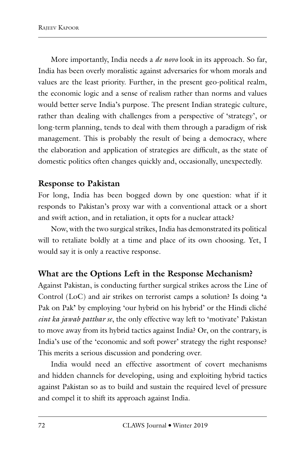More importantly, India needs a *de novo* look in its approach. So far, India has been overly moralistic against adversaries for whom morals and values are the least priority. Further, in the present geo-political realm, the economic logic and a sense of realism rather than norms and values would better serve India's purpose. The present Indian strategic culture, rather than dealing with challenges from a perspective of 'strategy', or long-term planning, tends to deal with them through a paradigm of risk management. This is probably the result of being a democracy, where the elaboration and application of strategies are difficult, as the state of domestic politics often changes quickly and, occasionally, unexpectedly.

#### **Response to Pakistan**

For long, India has been bogged down by one question: what if it responds to Pakistan's proxy war with a conventional attack or a short and swift action, and in retaliation, it opts for a nuclear attack?

Now, with the two surgical strikes, India has demonstrated its political will to retaliate boldly at a time and place of its own choosing. Yet, I would say it is only a reactive response.

### **What are the Options Left in the Response Mechanism?**

Against Pakistan, is conducting further surgical strikes across the Line of Control (LoC) and air strikes on terrorist camps a solution? Is doing **'**a Pak on Pak**'** by employing 'our hybrid on his hybrid' or the Hindi cliché *eint ka jawab patthar se*, the only effective way left to 'motivate' Pakistan to move away from its hybrid tactics against India? Or, on the contrary, is India's use of the 'economic and soft power' strategy the right response? This merits a serious discussion and pondering over.

India would need an effective assortment of covert mechanisms and hidden channels for developing, using and exploiting hybrid tactics against Pakistan so as to build and sustain the required level of pressure and compel it to shift its approach against India.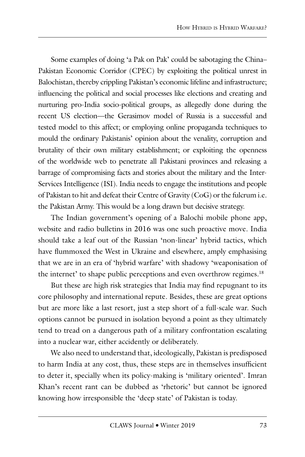Some examples of doing 'a Pak on Pak' could be sabotaging the China– Pakistan Economic Corridor (CPEC) by exploiting the political unrest in Balochistan, thereby crippling Pakistan's economic lifeline and infrastructure; influencing the political and social processes like elections and creating and nurturing pro-India socio-political groups, as allegedly done during the recent US election—the Gerasimov model of Russia is a successful and tested model to this affect; or employing online propaganda techniques to mould the ordinary Pakistanis' opinion about the venality, corruption and brutality of their own military establishment; or exploiting the openness of the worldwide web to penetrate all Pakistani provinces and releasing a barrage of compromising facts and stories about the military and the Inter-Services Intelligence (ISI). India needs to engage the institutions and people of Pakistan to hit and defeat their Centre of Gravity (CoG) or the fulcrum i.e. the Pakistan Army. This would be a long drawn but decisive strategy.

The Indian government's opening of a Balochi mobile phone app, website and radio bulletins in 2016 was one such proactive move. India should take a leaf out of the Russian 'non-linear' hybrid tactics, which have flummoxed the West in Ukraine and elsewhere, amply emphasising that we are in an era of 'hybrid warfare' with shadowy 'weaponisation of the internet' to shape public perceptions and even overthrow regimes.<sup>18</sup>

But these are high risk strategies that India may find repugnant to its core philosophy and international repute. Besides, these are great options but are more like a last resort, just a step short of a full-scale war. Such options cannot be pursued in isolation beyond a point as they ultimately tend to tread on a dangerous path of a military confrontation escalating into a nuclear war, either accidently or deliberately.

We also need to understand that, ideologically, Pakistan is predisposed to harm India at any cost, thus, these steps are in themselves insufficient to deter it, specially when its policy-making is 'military oriented'. Imran Khan's recent rant can be dubbed as 'rhetoric' but cannot be ignored knowing how irresponsible the 'deep state' of Pakistan is today.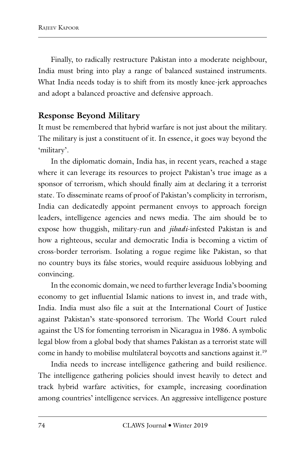Finally, to radically restructure Pakistan into a moderate neighbour, India must bring into play a range of balanced sustained instruments. What India needs today is to shift from its mostly knee-jerk approaches and adopt a balanced proactive and defensive approach.

## **Response Beyond Military**

It must be remembered that hybrid warfare is not just about the military. The military is just a constituent of it. In essence, it goes way beyond the 'military'.

In the diplomatic domain, India has, in recent years, reached a stage where it can leverage its resources to project Pakistan's true image as a sponsor of terrorism, which should finally aim at declaring it a terrorist state. To disseminate reams of proof of Pakistan's complicity in terrorism, India can dedicatedly appoint permanent envoys to approach foreign leaders, intelligence agencies and news media. The aim should be to expose how thuggish, military-run and *jihadi*-infested Pakistan is and how a righteous, secular and democratic India is becoming a victim of cross-border terrorism. Isolating a rogue regime like Pakistan, so that no country buys its false stories, would require assiduous lobbying and convincing.

In the economic domain, we need to further leverage India's booming economy to get influential Islamic nations to invest in, and trade with, India. India must also file a suit at the International Court of Justice against Pakistan's state-sponsored terrorism. The World Court ruled against the US for fomenting terrorism in Nicaragua in 1986. A symbolic legal blow from a global body that shames Pakistan as a terrorist state will come in handy to mobilise multilateral boycotts and sanctions against it.19

India needs to increase intelligence gathering and build resilience. The intelligence gathering policies should invest heavily to detect and track hybrid warfare activities, for example, increasing coordination among countries' intelligence services. An aggressive intelligence posture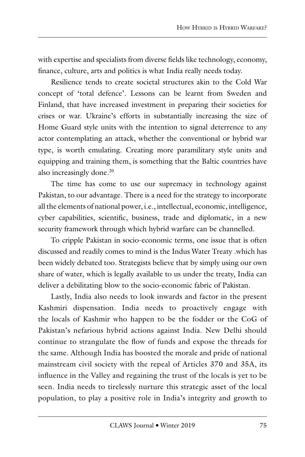with expertise and specialists from diverse fields like technology, economy, finance, culture, arts and politics is what India really needs today.

Resilience tends to create societal structures akin to the Cold War concept of 'total defence'. Lessons can be learnt from Sweden and Finland, that have increased investment in preparing their societies for crises or war. Ukraine's efforts in substantially increasing the size of Home Guard style units with the intention to signal deterrence to any actor contemplating an attack, whether the conventional or hybrid war type, is worth emulating. Creating more paramilitary style units and equipping and training them, is something that the Baltic countries have also increasingly done.<sup>20</sup>

The time has come to use our supremacy in technology against Pakistan, to our advantage. There is a need for the strategy to incorporate all the elements of national power, i.e., intellectual, economic, intelligence, cyber capabilities, scientific, business, trade and diplomatic, in a new security framework through which hybrid warfare can be channelled.

To cripple Pakistan in socio-economic terms, one issue that is often discussed and readily comes to mind is the Indus Water Treaty .which has been widely debated too. Strategists believe that by simply using our own share of water, which is legally available to us under the treaty, India can deliver a debilitating blow to the socio-economic fabric of Pakistan.

Lastly, India also needs to look inwards and factor in the present Kashmiri dispensation. India needs to proactively engage with the locals of Kashmir who happen to be the fodder or the CoG of Pakistan's nefarious hybrid actions against India. New Delhi should continue to strangulate the flow of funds and expose the threads for the same. Although India has boosted the morale and pride of national mainstream civil society with the repeal of Articles 370 and 35A, its influence in the Valley and regaining the trust of the locals is yet to be seen. India needs to tirelessly nurture this strategic asset of the local population, to play a positive role in India's integrity and growth to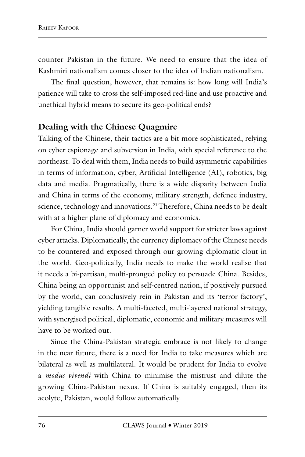counter Pakistan in the future. We need to ensure that the idea of Kashmiri nationalism comes closer to the idea of Indian nationalism.

The final question, however, that remains is: how long will India's patience will take to cross the self-imposed red-line and use proactive and unethical hybrid means to secure its geo-political ends?

#### **Dealing with the Chinese Quagmire**

Talking of the Chinese, their tactics are a bit more sophisticated, relying on cyber espionage and subversion in India, with special reference to the northeast. To deal with them, India needs to build asymmetric capabilities in terms of information, cyber, Artificial Intelligence (AI), robotics, big data and media. Pragmatically, there is a wide disparity between India and China in terms of the economy, military strength, defence industry, science, technology and innovations.<sup>21</sup> Therefore, China needs to be dealt with at a higher plane of diplomacy and economics.

For China, India should garner world support for stricter laws against cyber attacks. Diplomatically, the currency diplomacy of the Chinese needs to be countered and exposed through our growing diplomatic clout in the world. Geo-politically, India needs to make the world realise that it needs a bi-partisan, multi-pronged policy to persuade China. Besides, China being an opportunist and self-centred nation, if positively pursued by the world, can conclusively rein in Pakistan and its 'terror factory', yielding tangible results. A multi-faceted, multi-layered national strategy, with synergised political, diplomatic, economic and military measures will have to be worked out.

Since the China-Pakistan strategic embrace is not likely to change in the near future, there is a need for India to take measures which are bilateral as well as multilateral. It would be prudent for India to evolve a *modus vivendi* with China to minimise the mistrust and dilute the growing China-Pakistan nexus. If China is suitably engaged, then its acolyte, Pakistan, would follow automatically.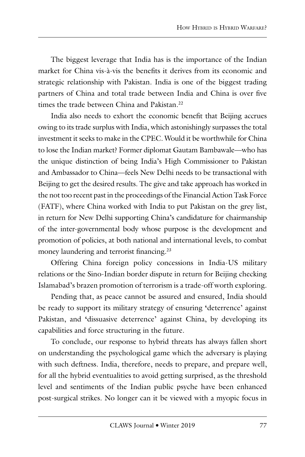The biggest leverage that India has is the importance of the Indian market for China vis-à-vis the benefits it derives from its economic and strategic relationship with Pakistan. India is one of the biggest trading partners of China and total trade between India and China is over five times the trade between China and Pakistan.<sup>22</sup>

India also needs to exhort the economic benefit that Beijing accrues owing to its trade surplus with India, which astonishingly surpasses the total investment it seeks to make in the CPEC. Would it be worthwhile for China to lose the Indian market? Former diplomat Gautam Bambawale—who has the unique distinction of being India's High Commissioner to Pakistan and Ambassador to China—feels New Delhi needs to be transactional with Beijing to get the desired results. The give and take approach has worked in the not too recent past in the proceedings of the Financial Action Task Force (FATF), where China worked with India to put Pakistan on the grey list, in return for New Delhi supporting China's candidature for chairmanship of the inter-governmental body whose purpose is the development and promotion of policies, at both national and international levels, to combat money laundering and terrorist financing.<sup>23</sup>

Offering China foreign policy concessions in India-US military relations or the Sino-Indian border dispute in return for Beijing checking Islamabad's brazen promotion of terrorism is a trade-off worth exploring.

Pending that, as peace cannot be assured and ensured, India should be ready to support its military strategy of ensuring **'**deterrence' against Pakistan, and **'**dissuasive deterrence' against China, by developing its capabilities and force structuring in the future.

To conclude, our response to hybrid threats has always fallen short on understanding the psychological game which the adversary is playing with such deftness. India, therefore, needs to prepare, and prepare well, for all the hybrid eventualities to avoid getting surprised, as the threshold level and sentiments of the Indian public psyche have been enhanced post-surgical strikes. No longer can it be viewed with a myopic focus in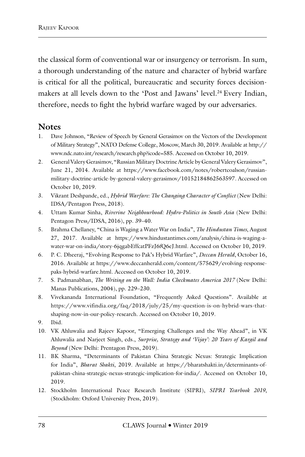the classical form of conventional war or insurgency or terrorism. In sum, a thorough understanding of the nature and character of hybrid warfare is critical for all the political, bureaucratic and security forces decisionmakers at all levels down to the 'Post and Jawans' level.<sup>24</sup> Every Indian, therefore, needs to fight the hybrid warfare waged by our adversaries.

#### **Notes**

- 1. Dave Johnson, "Review of Speech by General Gerasimov on the Vectors of the Development of Military Strategy", NATO Defense College, Moscow, March 30, 2019. Available at http:// www.ndc.nato.int/research/research.php?icode=585. Accessed on October 10, 2019.
- 2. General Valery Gerasimov, "Russian Military Doctrine Article by General Valery Gerasimov", June 21, 2014. Available at https://www.facebook.com/notes/robertcoalson/russianmilitary-doctrine-article-by-general-valery-gerasimov/10152184862563597. Accessed on October 10, 2019.
- 3. Vikrant Deshpande, ed., *Hybrid Warfare: The Changing Character of Conflict* (New Delhi: IDSA/Pentagon Press, 2018).
- 4. Uttam Kumar Sinha, *Riverine Neighbourhood: Hydro-Politics in South Asia* (New Delhi: Pentagon Press/IDSA, 2016), pp. 39–40.
- 5. Brahma Chellaney, "China is Waging a Water War on India", *The Hindustan Times*, August 27, 2017. Available at https://www.hindustantimes.com/analysis/china-is-waging-awater-war-on-india/story-6jqgabEffcatPFzJ6fQ6eJ.html. Accessed on October 10, 2019.
- 6. P. C. Dheeraj, "Evolving Response to Pak's Hybrid Warfare", *Deccan Herald*, October 16, 2016. Available at https://www.deccanherald.com/content/575629/evolving-responsepaks-hybrid-warfare.html. Accessed on October 10, 2019.
- 7. S. Padmanabhan, *The Writing on the Wall: India Checkmates America 2017* (New Delhi: Manas Publications, 2004), pp. 229–230.
- 8. Vivekananda International Foundation, "Frequently Asked Questions". Available at https://www.vifindia.org/faq/2018/july/25/my-question-is-on-hybrid-wars-thatshaping-now-in-our-policy-research. Accessed on October 10, 2019.
- 9. Ibid.
- 10. VK Ahluwalia and Rajeev Kapoor, "Emerging Challenges and the Way Ahead", in VK Ahluwalia and Narjeet Singh, eds., *Surprise, Strategy and 'Vijay': 20 Years of Kargil and Beyond* (New Delhi: Prentagon Press, 2019).
- 11. BK Sharma, "Determinants of Pakistan China Strategic Nexus: Strategic Implication for India", *Bharat Shakti*, 2019. Available at https://bharatshakti.in/determinants-ofpakistan-china-strategic-nexus-strategic-implication-for-india/. Accessed on October 10, 2019.
- 12. Stockholm International Peace Research Institute (SIPRI), *SIPRI Yearbook 2019*, (Stockholm: Oxford University Press, 2019).